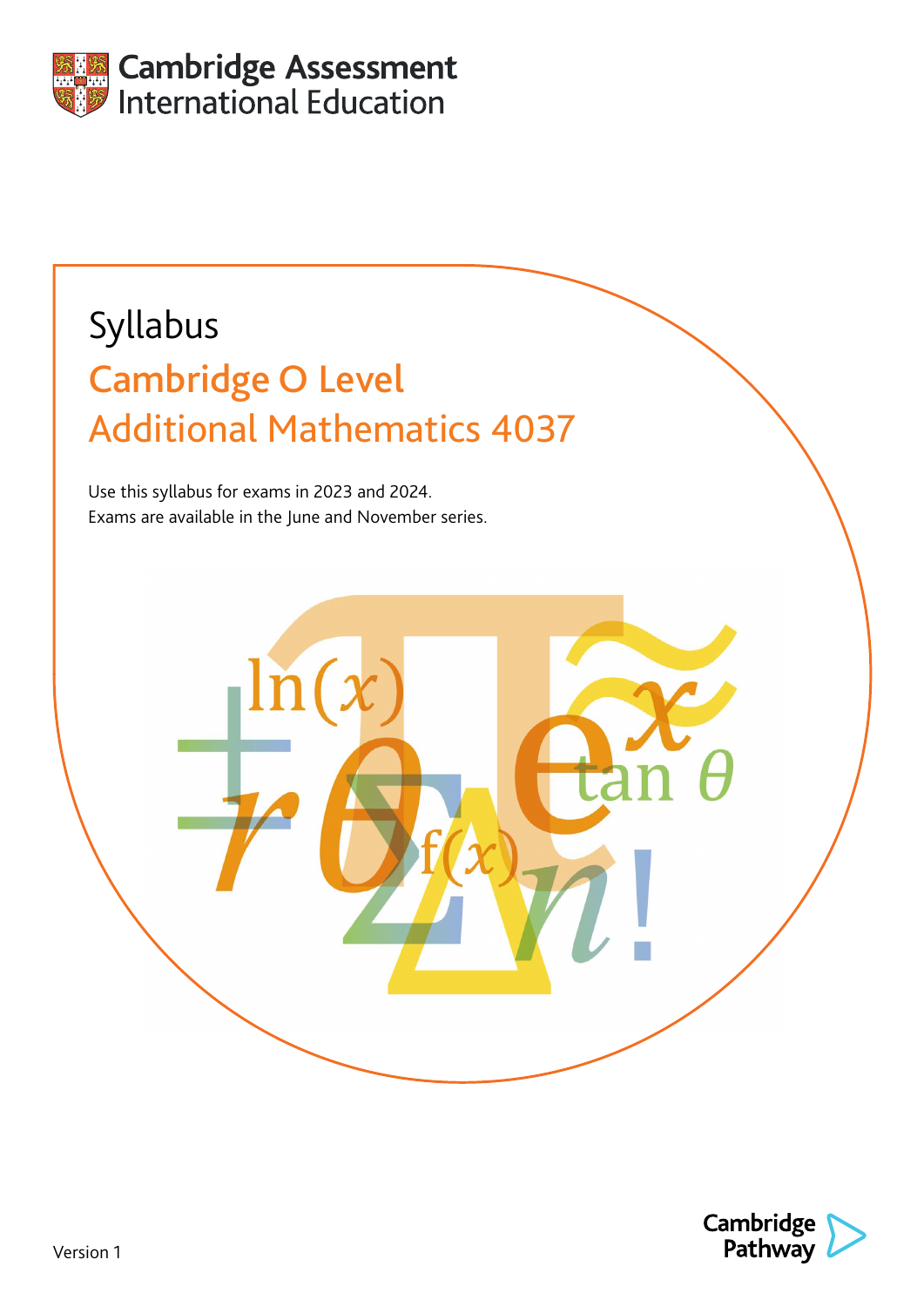

# Syllabus Cambridge O Level Additional Mathematics 4037

Use this syllabus for exams in 2023 and 2024. Exams are available in the June and November series.

ln

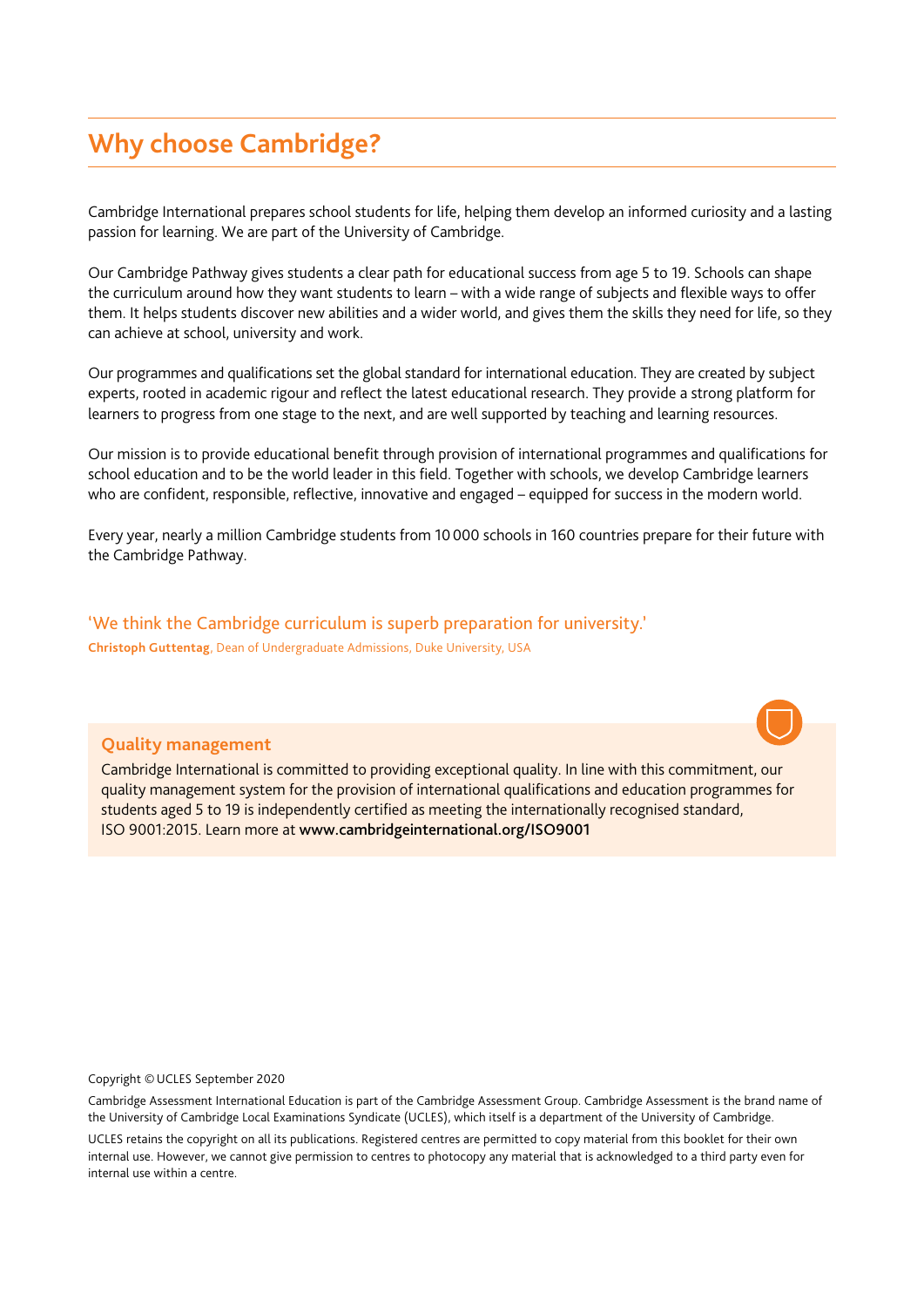# **Why choose Cambridge?**

Cambridge International prepares school students for life, helping them develop an informed curiosity and a lasting passion for learning. We are part of the University of Cambridge.

Our Cambridge Pathway gives students a clear path for educational success from age 5 to 19. Schools can shape the curriculum around how they want students to learn – with a wide range of subjects and flexible ways to offer them. It helps students discover new abilities and a wider world, and gives them the skills they need for life, so they can achieve at school, university and work.

Our programmes and qualifications set the global standard for international education. They are created by subject experts, rooted in academic rigour and reflect the latest educational research. They provide a strong platform for learners to progress from one stage to the next, and are well supported by teaching and learning resources.

Our mission is to provide educational benefit through provision of international programmes and qualifications for school education and to be the world leader in this field. Together with schools, we develop Cambridge learners who are confident, responsible, reflective, innovative and engaged – equipped for success in the modern world.

Every year, nearly a million Cambridge students from 10000 schools in 160 countries prepare for their future with the Cambridge Pathway.

'We think the Cambridge curriculum is superb preparation for university.' **Christoph Guttentag**, Dean of Undergraduate Admissions, Duke University, USA

#### **Quality management**

Cambridge International is committed to providing exceptional quality. In line with this commitment, our quality management system for the provision of international qualifications and education programmes for students aged 5 to 19 is independently certified as meeting the internationally recognised standard, ISO 9001:2015. Learn more at www.cambridgeinternational.org/ISO9001

Copyright ©UCLES September 2020

Cambridge Assessment International Education is part of the Cambridge Assessment Group. Cambridge Assessment is the brand name of the University of Cambridge Local Examinations Syndicate (UCLES), which itself is a department of the University of Cambridge.

UCLES retains the copyright on all its publications. Registered centres are permitted to copy material from this booklet for their own internal use. However, we cannot give permission to centres to photocopy any material that is acknowledged to a third party even for internal use within a centre.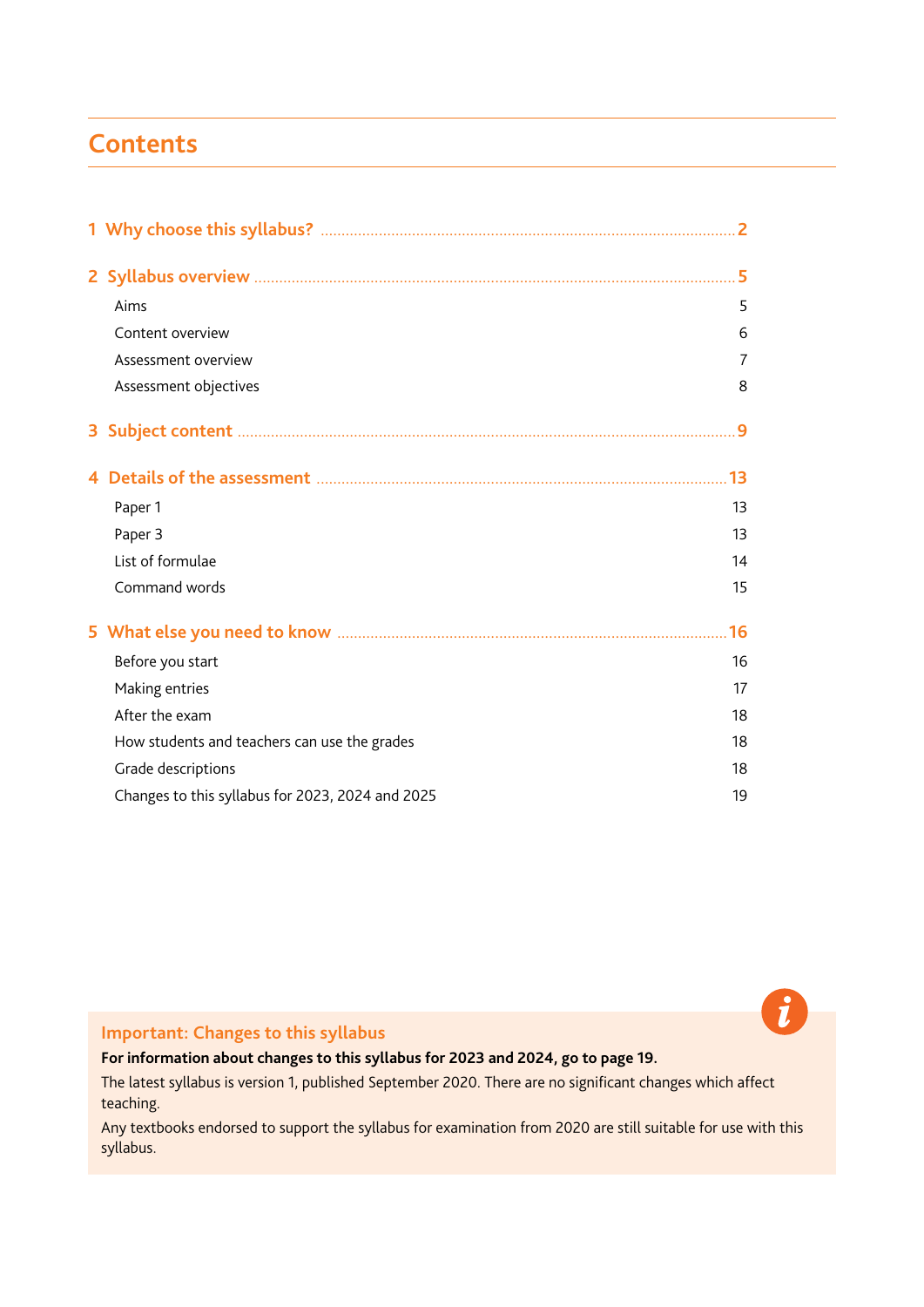# <span id="page-2-0"></span>**Contents**

|    | Aims                                             | 5  |
|----|--------------------------------------------------|----|
|    | Content overview                                 | 6  |
|    | Assessment overview                              | 7  |
|    | Assessment objectives                            | 8  |
|    |                                                  |    |
| 3. |                                                  |    |
|    |                                                  |    |
|    | Paper 1                                          | 13 |
|    | Paper 3                                          | 13 |
|    | List of formulae                                 | 14 |
|    | Command words                                    | 15 |
|    |                                                  |    |
|    | Before you start                                 | 16 |
|    | Making entries                                   | 17 |
|    | After the exam                                   | 18 |
|    | How students and teachers can use the grades     | 18 |
|    | Grade descriptions                               | 18 |
|    | Changes to this syllabus for 2023, 2024 and 2025 | 19 |

**Important: Changes to this syllabus**

**For information about changes to this syllabus for 2023 and 2024, go to page 19.**

The latest syllabus is version 1, published September 2020. There are no significant changes which affect teaching.

Any textbooks endorsed to support the syllabus for examination from 2020 are still suitable for use with this syllabus.

 $\mathbf{\hat{i}}$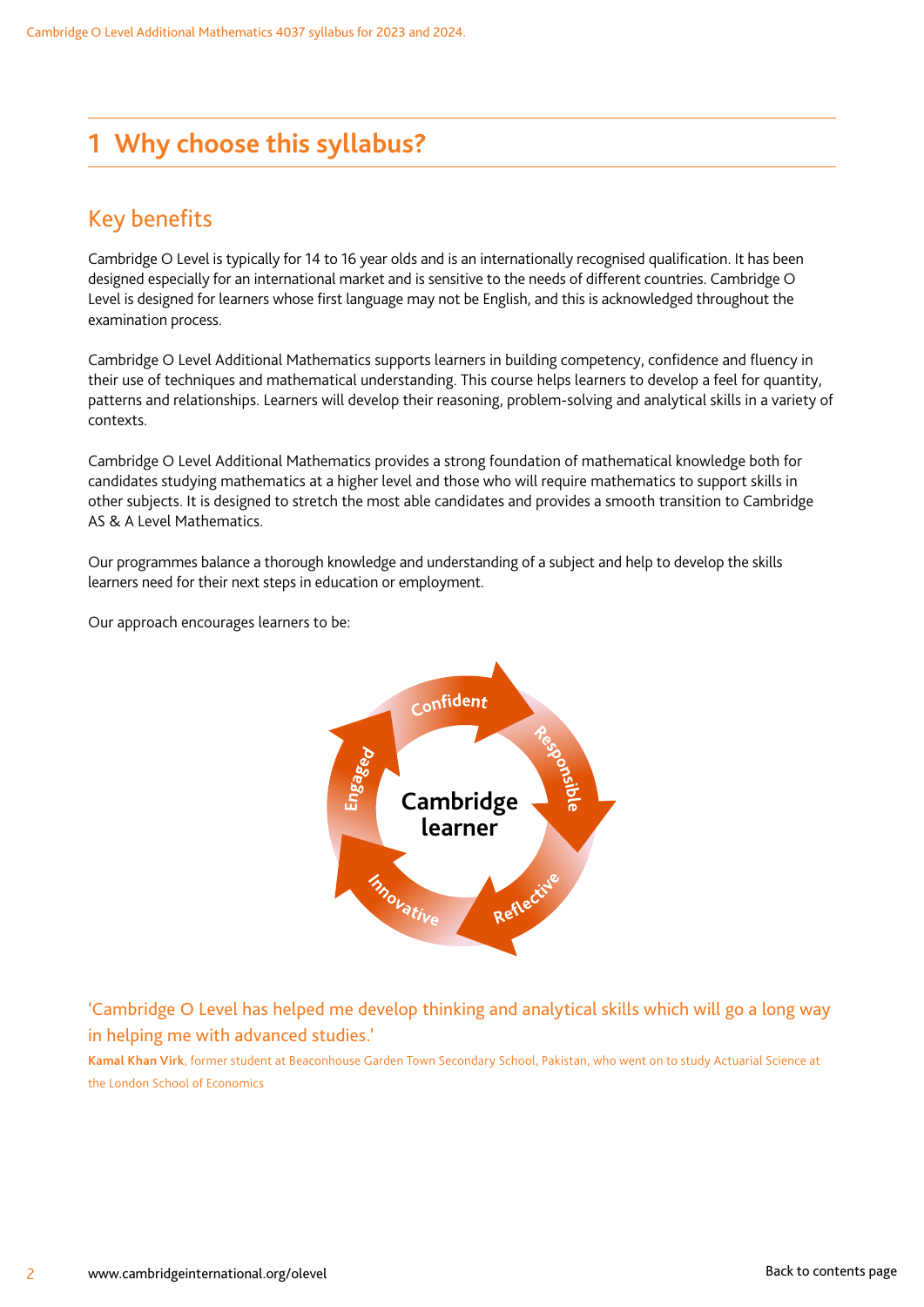# <span id="page-3-0"></span>**1 Why choose this syllabus?**

# Key benefits

Cambridge O Level is typically for 14 to 16 year olds and is an internationally recognised qualification. It has been designed especially for an international market and is sensitive to the needs of different countries. Cambridge O Level is designed for learners whose first language may not be English, and this is acknowledged throughout the examination process.

Cambridge O Level Additional Mathematics supports learners in building competency, confidence and fluency in their use of techniques and mathematical understanding. This course helps learners to develop a feel for quantity, patterns and relationships. Learners will develop their reasoning, problem-solving and analytical skills in a variety of contexts.

Cambridge O Level Additional Mathematics provides a strong foundation of mathematical knowledge both for candidates studying mathematics at a higher level and those who will require mathematics to support skills in other subjects. It is designed to stretch the most able candidates and provides a smooth transition to Cambridge AS & A Level Mathematics.

Our programmes balance a thorough knowledge and understanding of a subject and help to develop the skills learners need for their next steps in education or employment.

Our approach encourages learners to be:



'Cambridge O Level has helped me develop thinking and analytical skills which will go a long way in helping me with advanced studies.'

**Kamal Khan Virk**, former student at Beaconhouse Garden Town Secondary School, Pakistan, who went on to study Actuarial Science at the London School of Economics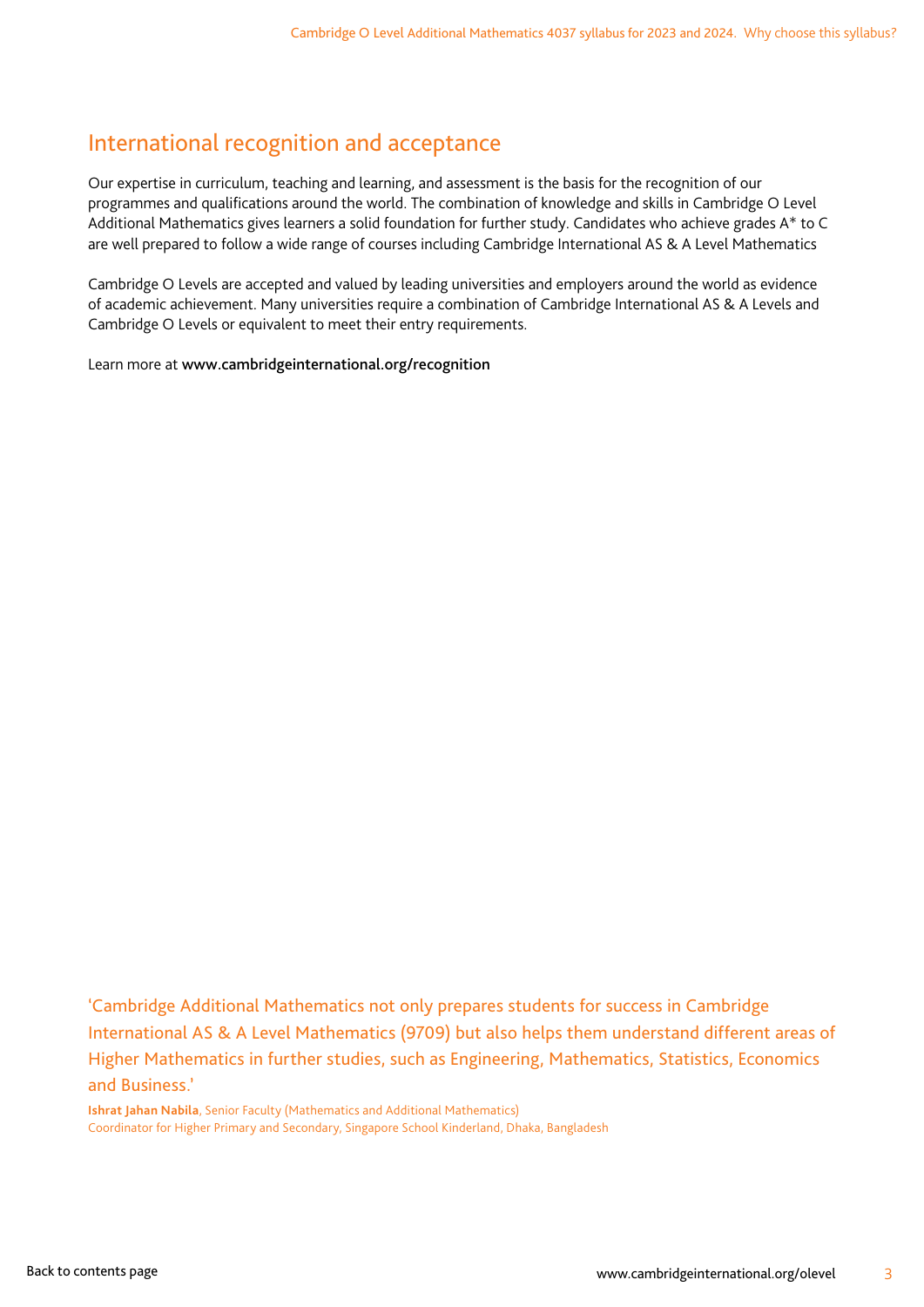### International recognition and acceptance

Our expertise in curriculum, teaching and learning, and assessment is the basis for the recognition of our programmes and qualifications around the world. The combination of knowledge and skills in Cambridge O Level Additional Mathematics gives learners a solid foundation for further study. Candidates who achieve grades A\* to C are well prepared to follow a wide range of courses including Cambridge International AS & A Level Mathematics

Cambridge O Levels are accepted and valued by leading universities and employers around the world as evidence of academic achievement. Many universities require a combination of Cambridge International AS & A Levels and Cambridge O Levels or equivalent to meet their entry requirements.

Learn more at www.cambridgeinternational.org/recognition

'Cambridge Additional Mathematics not only prepares students for success in Cambridge International AS & A Level Mathematics (9709) but also helps them understand different areas of Higher Mathematics in further studies, such as Engineering, Mathematics, Statistics, Economics and Business.'

**Ishrat Jahan Nabila**, Senior Faculty (Mathematics and Additional Mathematics) Coordinator for Higher Primary and Secondary, Singapore School Kinderland, Dhaka, Bangladesh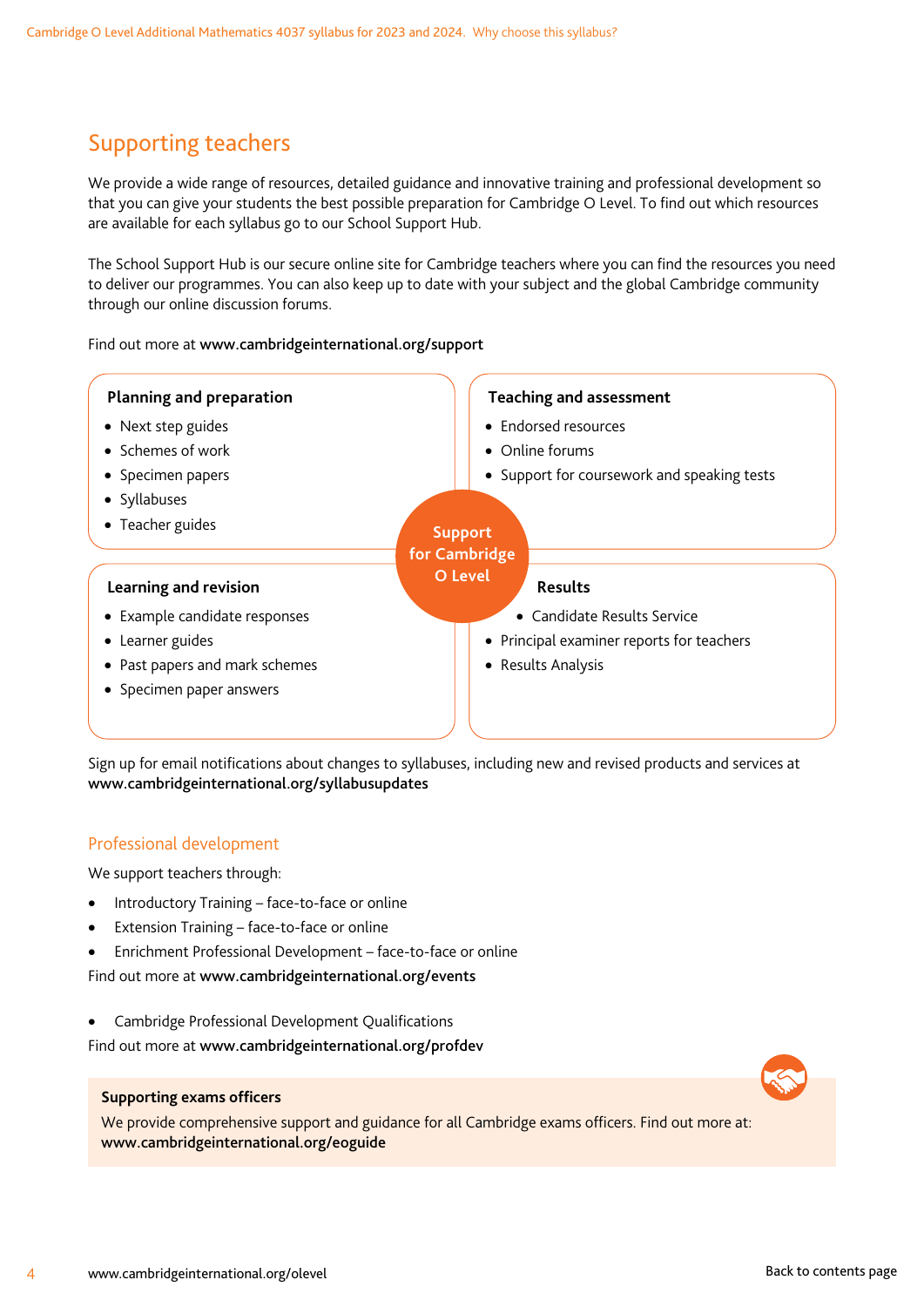# Supporting teachers

We provide a wide range of resources, detailed guidance and innovative training and professional development so that you can give your students the best possible preparation for Cambridge O Level. To find out which resources are available for each syllabus go to our School Support Hub.

The School Support Hub is our secure online site for Cambridge teachers where you can find the resources you need to deliver our programmes. You can also keep up to date with your subject and the global Cambridge community through our online discussion forums.

#### Find out more at www.cambridgeinternational.org/support

| Planning and preparation       | <b>Teaching and assessment</b>              |
|--------------------------------|---------------------------------------------|
| • Next step guides             | • Endorsed resources                        |
| • Schemes of work              | • Online forums                             |
| • Specimen papers              | • Support for coursework and speaking tests |
| • Syllabuses                   |                                             |
| • Teacher guides               | <b>Support</b>                              |
|                                | for Cambridge                               |
| Learning and revision          | O Level<br><b>Results</b>                   |
| • Example candidate responses  | • Candidate Results Service                 |
| • Learner guides               | • Principal examiner reports for teachers   |
| • Past papers and mark schemes | • Results Analysis                          |
| • Specimen paper answers       |                                             |
|                                |                                             |

Sign up for email notifications about changes to syllabuses, including new and revised products and services at www.cambridgeinternational.org/syllabusupdates

#### Professional development

We support teachers through:

- Introductory Training face-to-face or online
- Extension Training face-to-face or online
- Enrichment Professional Development face-to-face or online

Find out more at www.cambridgeinternational.org/events

• Cambridge Professional Development Qualifications

Find out more at www.cambridgeinternational.org/profdev

#### **Supporting exams officers**

We provide comprehensive support and guidance for all Cambridge exams officers. Find out more at: www.cambridgeinternational.org/eoguide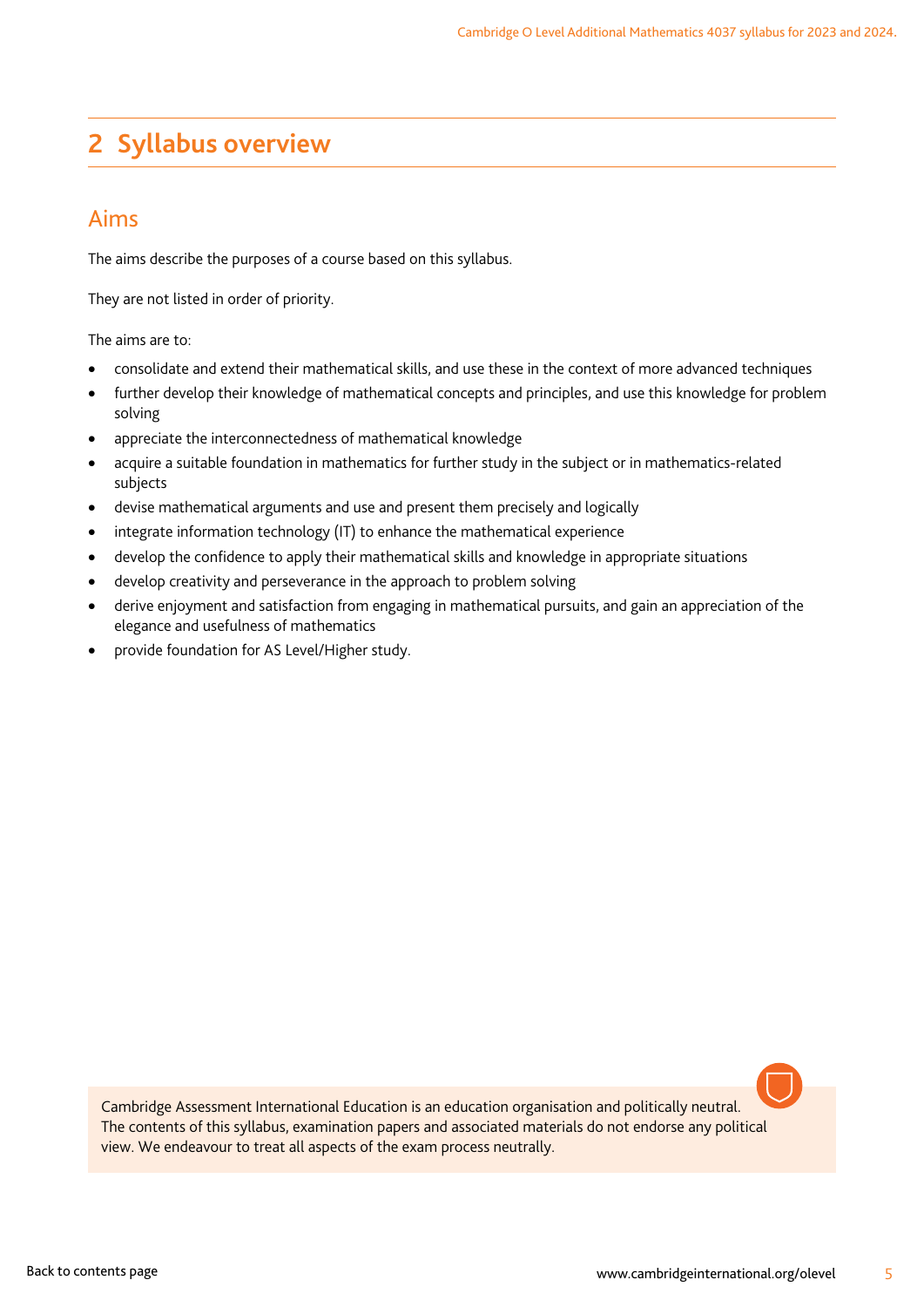# <span id="page-6-0"></span>**2 Syllabus overview**

### Aims

The aims describe the purposes of a course based on this syllabus.

They are not listed in order of priority.

The aims are to:

- consolidate and extend their mathematical skills, and use these in the context of more advanced techniques
- further develop their knowledge of mathematical concepts and principles, and use this knowledge for problem solving
- appreciate the interconnectedness of mathematical knowledge
- acquire a suitable foundation in mathematics for further study in the subject or in mathematics-related subjects
- devise mathematical arguments and use and present them precisely and logically
- integrate information technology (IT) to enhance the mathematical experience
- develop the confidence to apply their mathematical skills and knowledge in appropriate situations
- develop creativity and perseverance in the approach to problem solving
- derive enjoyment and satisfaction from engaging in mathematical pursuits, and gain an appreciation of the elegance and usefulness of mathematics
- provide foundation for AS Level/Higher study.

Cambridge Assessment International Education is an education organisation and politically neutral. The contents of this syllabus, examination papers and associated materials do not endorse any political view. We endeavour to treat all aspects of the exam process neutrally.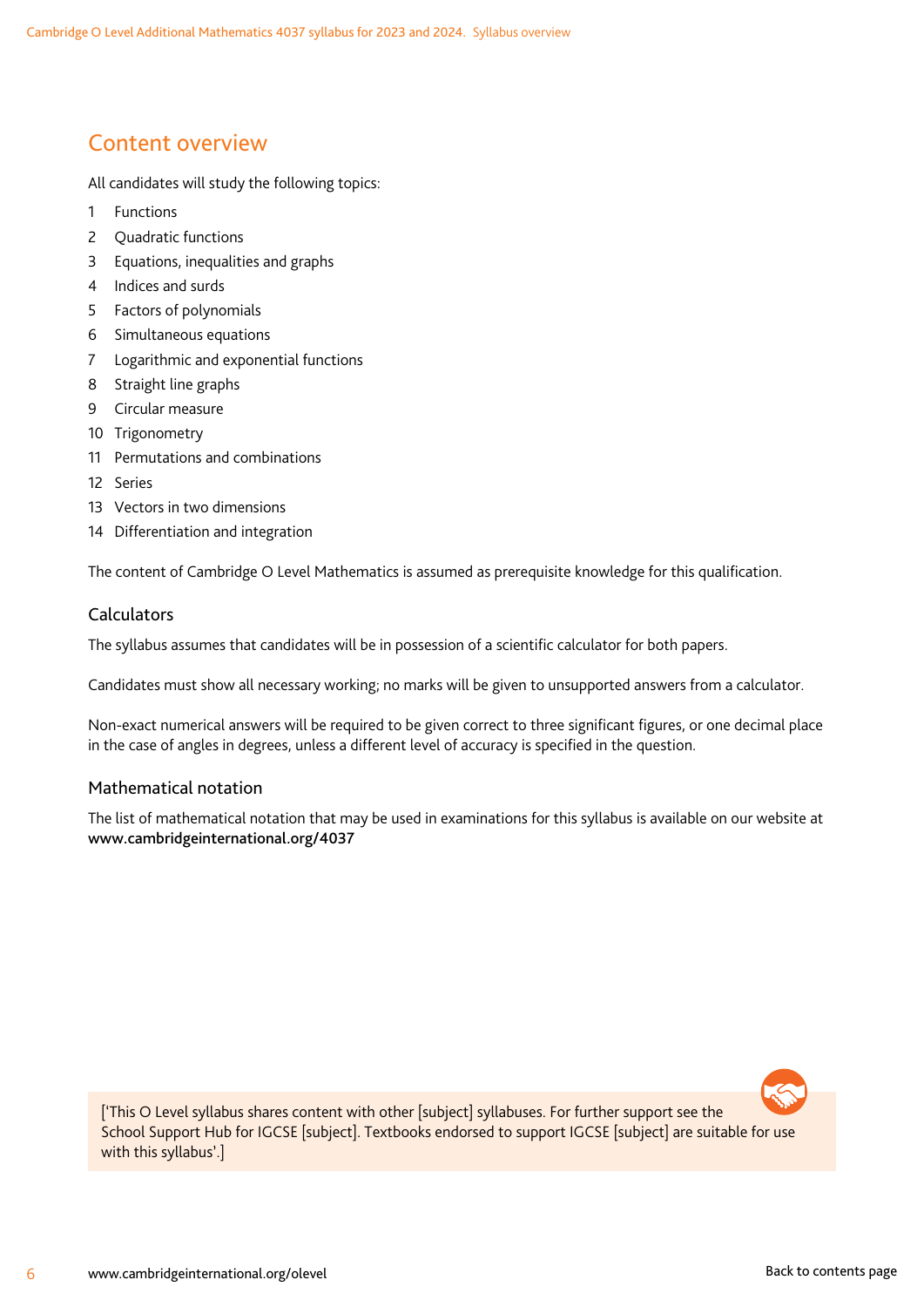### <span id="page-7-0"></span>Content overview

All candidates will study the following topics:

- 1 Functions
- 2 Quadratic functions
- 3 Equations, inequalities and graphs
- 4 Indices and surds
- 5 Factors of polynomials
- 6 Simultaneous equations
- 7 Logarithmic and exponential functions
- 8 Straight line graphs
- 9 Circular measure
- 10 Trigonometry
- 11 Permutations and combinations
- 12 Series
- 13 Vectors in two dimensions
- 14 Differentiation and integration

The content of Cambridge O Level Mathematics is assumed as prerequisite knowledge for this qualification.

#### Calculators

The syllabus assumes that candidates will be in possession of a scientific calculator for both papers.

Candidates must show all necessary working; no marks will be given to unsupported answers from a calculator.

Non-exact numerical answers will be required to be given correct to three significant figures, or one decimal place in the case of angles in degrees, unless a different level of accuracy is specified in the question.

#### Mathematical notation

The list of mathematical notation that may be used in examinations for this syllabus is available on our website at www.cambridgeinternational.org/4037



['This O Level syllabus shares content with other [subject] syllabuses. For further support see the School Support Hub for IGCSE [subject]. Textbooks endorsed to support IGCSE [subject] are suitable for use with this syllabus'.]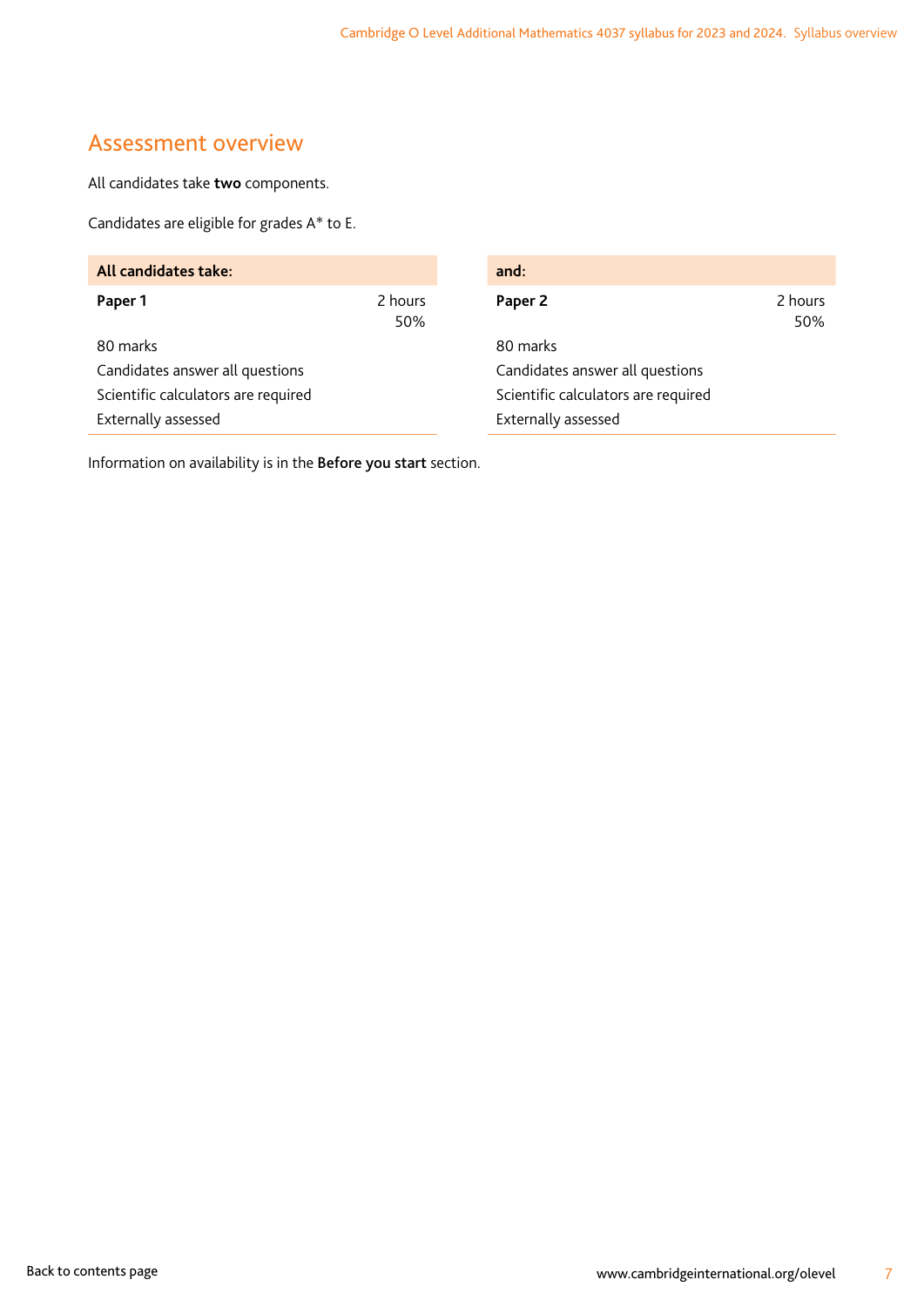### <span id="page-8-0"></span>Assessment overview

All candidates take **two** components.

Candidates are eligible for grades A\* to E.

| All candidates take:                |                | and:                                |                |
|-------------------------------------|----------------|-------------------------------------|----------------|
| Paper 1                             | 2 hours<br>50% | Paper 2                             | 2 hours<br>50% |
| 80 marks                            |                | 80 marks                            |                |
| Candidates answer all questions     |                | Candidates answer all questions     |                |
| Scientific calculators are required |                | Scientific calculators are required |                |
| Externally assessed                 |                | Externally assessed                 |                |

Information on availability is in the Before you start section.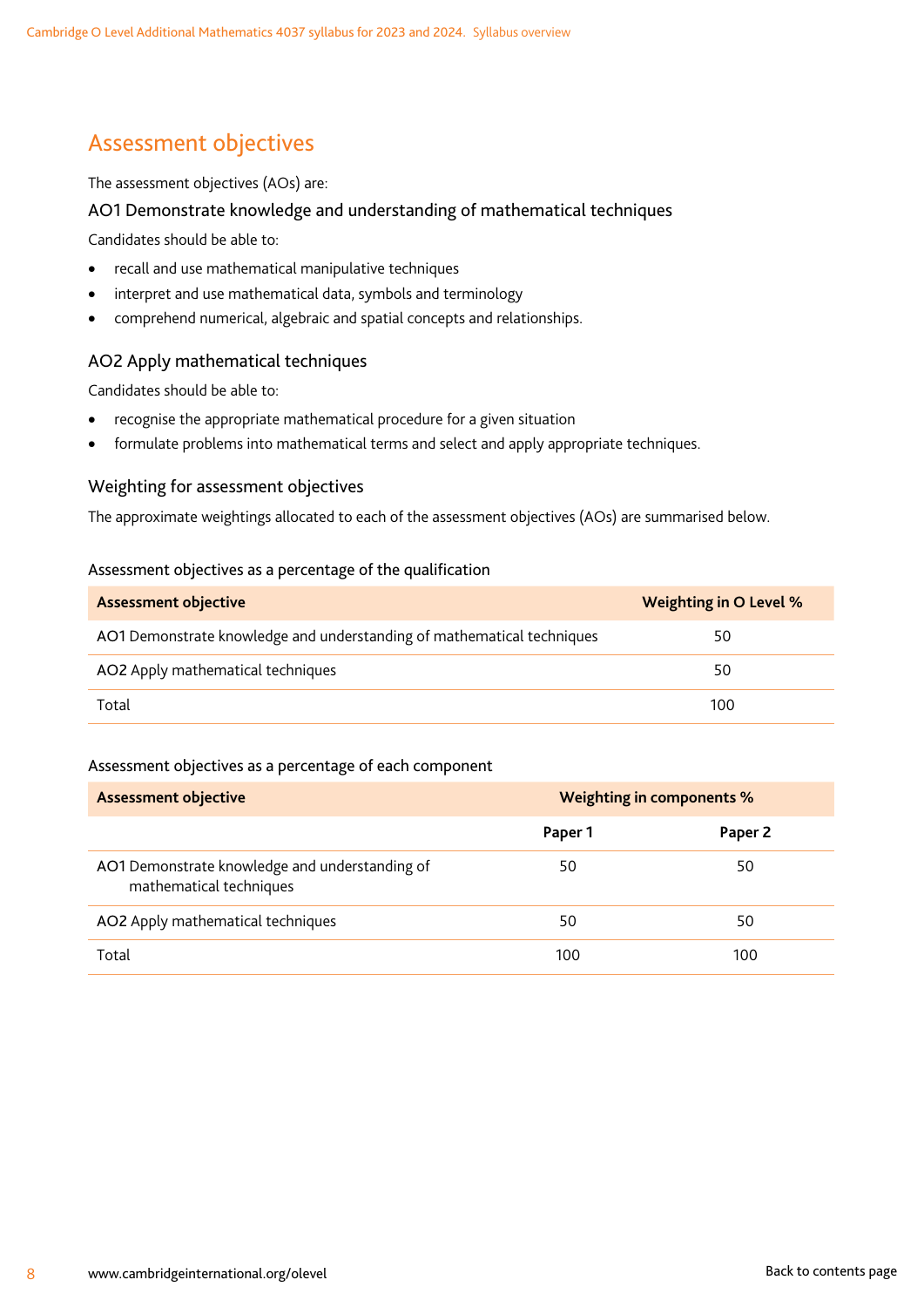# <span id="page-9-0"></span>Assessment objectives

#### The assessment objectives (AOs) are:

#### AO1 Demonstrate knowledge and understanding of mathematical techniques

Candidates should be able to:

- recall and use mathematical manipulative techniques
- interpret and use mathematical data, symbols and terminology
- comprehend numerical, algebraic and spatial concepts and relationships.

#### AO2 Apply mathematical techniques

Candidates should be able to:

- recognise the appropriate mathematical procedure for a given situation
- formulate problems into mathematical terms and select and apply appropriate techniques.

#### Weighting for assessment objectives

The approximate weightings allocated to each of the assessment objectives (AOs) are summarised below.

#### Assessment objectives as a percentage of the qualification

| <b>Assessment objective</b>                                            | Weighting in O Level % |
|------------------------------------------------------------------------|------------------------|
| AO1 Demonstrate knowledge and understanding of mathematical techniques | 50                     |
| AO2 Apply mathematical techniques                                      | 50                     |
| Total                                                                  | 100                    |

#### Assessment objectives as a percentage of each component

| <b>Assessment objective</b>                                               | <b>Weighting in components %</b> |         |
|---------------------------------------------------------------------------|----------------------------------|---------|
|                                                                           | Paper 1                          | Paper 2 |
| AO1 Demonstrate knowledge and understanding of<br>mathematical techniques | 50                               | 50      |
| AO2 Apply mathematical techniques                                         | 50                               | 50      |
| Total                                                                     | 100                              | 100     |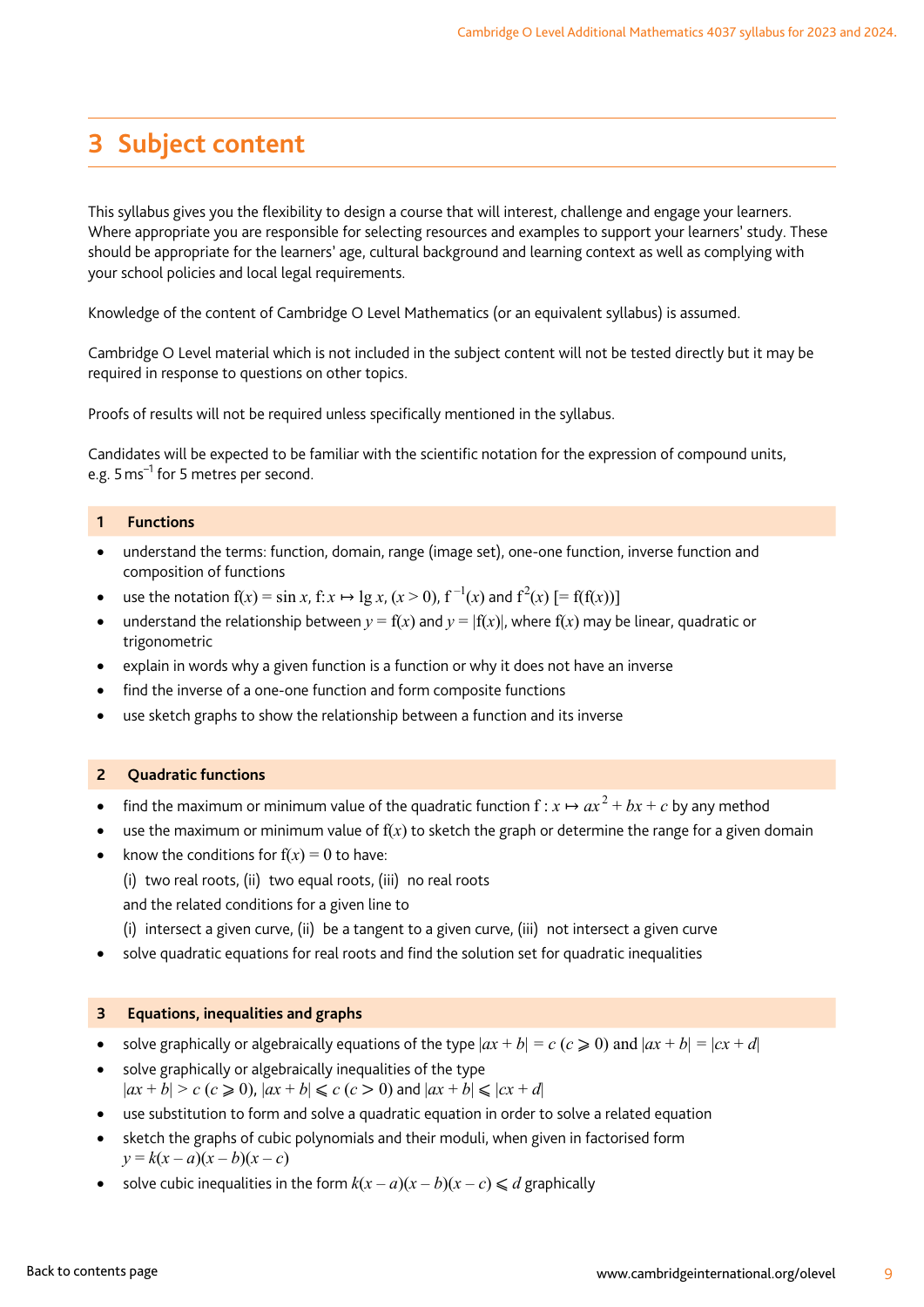# <span id="page-10-0"></span>**3 Subject content**

This syllabus gives you the flexibility to design a course that will interest, challenge and engage your learners. Where appropriate you are responsible for selecting resources and examples to support your learners' study. These should be appropriate for the learners' age, cultural background and learning context as well as complying with your school policies and local legal requirements.

Knowledge of the content of Cambridge O Level Mathematics (or an equivalent syllabus) is assumed.

Cambridge O Level material which is not included in the subject content will not be tested directly but it may be required in response to questions on other topics.

Proofs of results will not be required unless specifically mentioned in the syllabus.

Candidates will be expected to be familiar with the scientific notation for the expression of compound units, e.g. 5 ms<sup>-1</sup> for 5 metres per second.

#### **1 Functions**

- understand the terms: function, domain, range (image set), one-one function, inverse function and composition of functions
- use the notation  $f(x) = \sin x$ ,  $f: x \mapsto \lg x$ ,  $(x > 0)$ ,  $f^{-1}(x)$  and  $f^{2}(x)$   $[= f(f(x))]$
- understand the relationship between  $y = f(x)$  and  $y = |f(x)|$ , where  $f(x)$  may be linear, quadratic or trigonometric
- explain in words why a given function is a function or why it does not have an inverse
- find the inverse of a one-one function and form composite functions
- use sketch graphs to show the relationship between a function and its inverse

#### **2 Quadratic functions**

- find the maximum or minimum value of the quadratic function  $f: x \mapsto a x^2 + b x + c$  by any method
- use the maximum or minimum value of  $f(x)$  to sketch the graph or determine the range for a given domain
- know the conditions for  $f(x) = 0$  to have:
	- (i) two real roots, (ii) two equal roots, (iii) no real roots
	- and the related conditions for a given line to
	- (i) intersect a given curve, (ii) be a tangent to a given curve, (iii) not intersect a given curve
- solve quadratic equations for real roots and find the solution set for quadratic inequalities

#### **3 Equations, inequalities and graphs**

- solve graphically or algebraically equations of the type  $|ax + b| = c$  ( $c \ge 0$ ) and  $|ax + b| = |cx + d|$
- solve graphically or algebraically inequalities of the type  $|ax + b| > c$  ( $c \ge 0$ ),  $|ax + b| \le c$  ( $c > 0$ ) and  $|ax + b| \le |cx + d|$
- use substitution to form and solve a quadratic equation in order to solve a related equation
- sketch the graphs of cubic polynomials and their moduli, when given in factorised form  $y = k(x - a)(x - b)(x - c)$
- solve cubic inequalities in the form  $k(x-a)(x-b)(x-c) \leq d$  graphically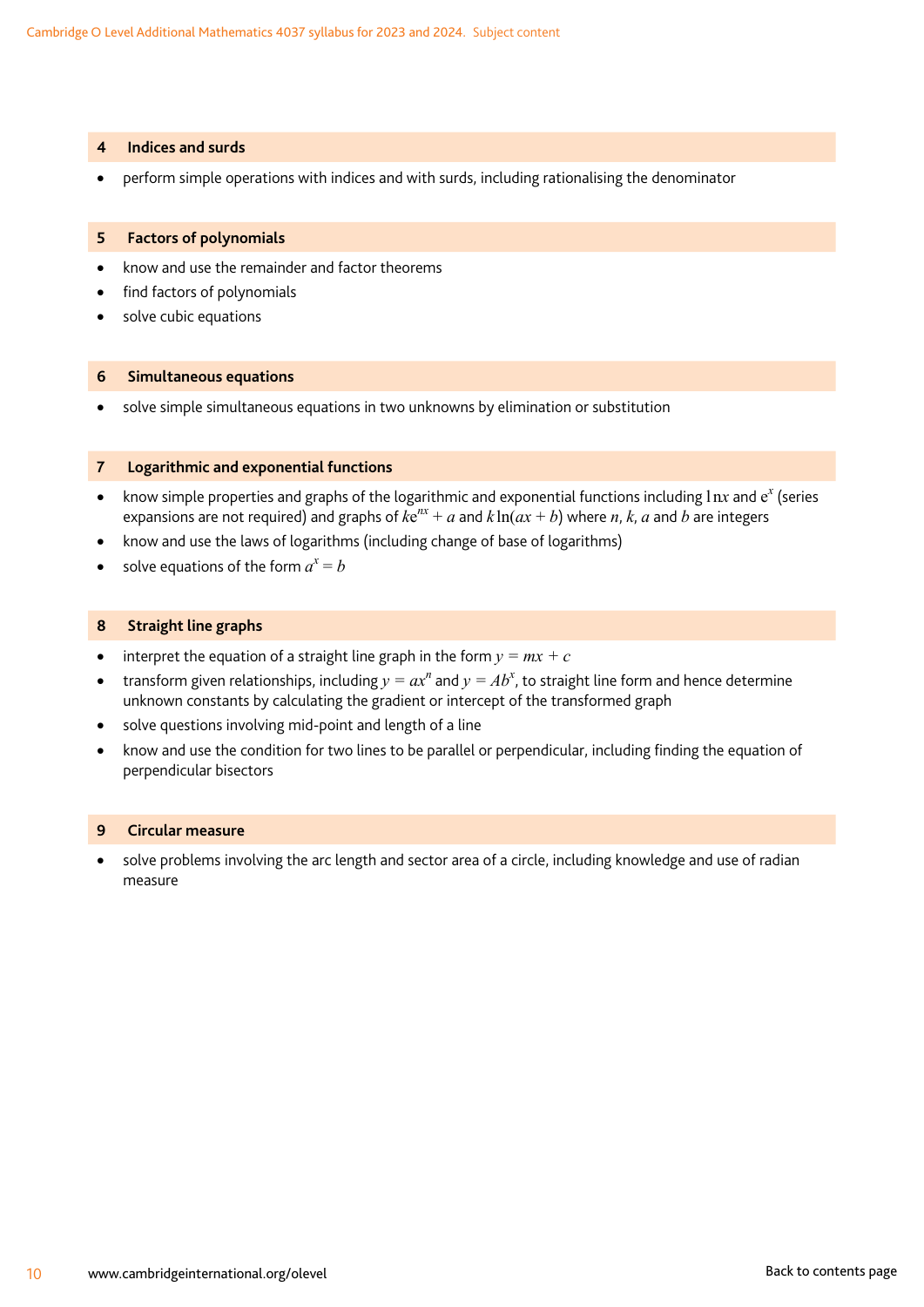#### **4 Indices and surds**

• perform simple operations with indices and with surds, including rationalising the denominator

#### **5 Factors of polynomials**

- know and use the remainder and factor theorems
- find factors of polynomials
- solve cubic equations

#### **6 Simultaneous equations**

• solve simple simultaneous equations in two unknowns by elimination or substitution

#### **7 Logarithmic and exponential functions**

- know simple properties and graphs of the logarithmic and exponential functions including 1 nx and e<sup>x</sup> (series expansions are not required) and graphs of  $ke^{nx} + a$  and  $k\ln(ax + b)$  where *n*, *k*, *a* and *b* are integers
- know and use the laws of logarithms (including change of base of logarithms)
- solve equations of the form  $a^x = b$

#### **8 Straight line graphs**

- interpret the equation of a straight line graph in the form  $y = mx + c$
- transform given relationships, including  $y = ax^n$  and  $y = Ab^x$ , to straight line form and hence determine unknown constants by calculating the gradient or intercept of the transformed graph
- solve questions involving mid-point and length of a line
- know and use the condition for two lines to be parallel or perpendicular, including finding the equation of perpendicular bisectors

#### **9 Circular measure**

• solve problems involving the arc length and sector area of a circle, including knowledge and use of radian measure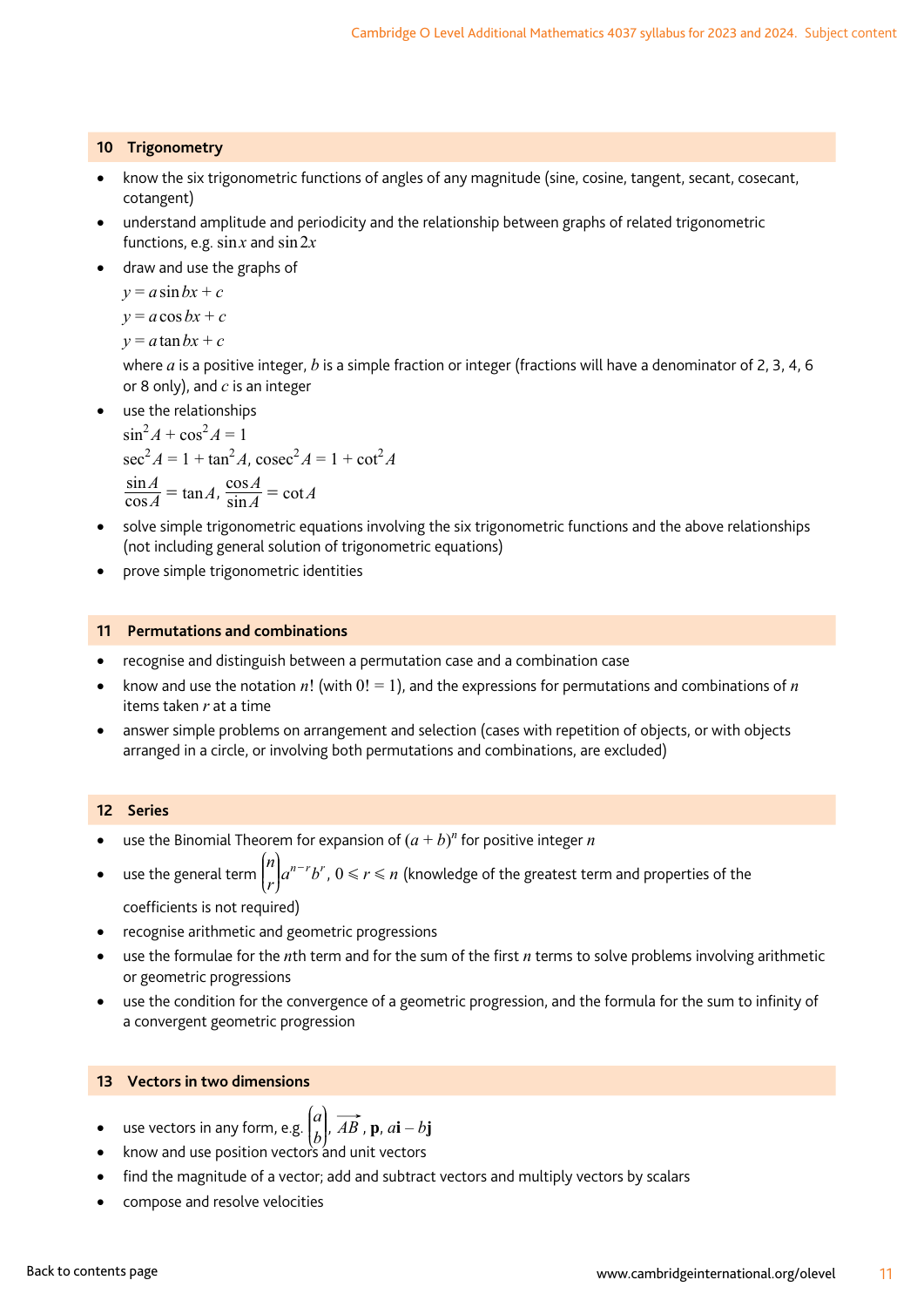#### **10 Trigonometry**

- know the six trigonometric functions of angles of any magnitude (sine, cosine, tangent, secant, cosecant, cotangent)
- understand amplitude and periodicity and the relationship between graphs of related trigonometric functions, e.g.  $\sin x$  and  $\sin 2x$
- draw and use the graphs of

 $y = a \sin bx + c$ 

 $y = a \cos bx + c$ 

 $y = a \tan bx + c$ 

where *a* is a positive integer, *b* is a simple fraction or integer (fractions will have a denominator of 2, 3, 4, 6 or 8 only), and *c* is an integer

• use the relationships

 $\sin^2 A + \cos^2 A = 1$  $\sec^2 A = 1 + \tan^2 A$ ,  $\csc^2 A = 1 + \cot^2 A$  $\frac{\sin A}{\cos A} = \tan A$ ,  $\frac{\cos A}{\sin A} = \cot A$ 

- solve simple trigonometric equations involving the six trigonometric functions and the above relationships (not including general solution of trigonometric equations)
- prove simple trigonometric identities

#### **11 Permutations and combinations**

- recognise and distinguish between a permutation case and a combination case
- know and use the notation  $n!$  (with  $0! = 1$ ), and the expressions for permutations and combinations of  $n$ items taken *r* at a time
- answer simple problems on arrangement and selection (cases with repetition of objects, or with objects arranged in a circle, or involving both permutations and combinations, are excluded)

#### **12 Series**

- use the Binomial Theorem for expansion of  $(a + b)^n$  for positive integer *n*
- use the general term  $\binom{n}{r} a^{n-r} b^r$ L  $\mathsf I$ N  $\overline{y}$  $\left\vert a^{n-r}b^{r},0\leqslant r\leqslant n\right\vert$  (knowledge of the greatest term and properties of the coefficients is not required)
- recognise arithmetic and geometric progressions
- use the formulae for the *n*th term and for the sum of the first *n* terms to solve problems involving arithmetic or geometric progressions
- use the condition for the convergence of a geometric progression, and the formula for the sum to infinity of a convergent geometric progression

#### **13 Vectors in two dimensions**

- use vectors in any form, e.g.  $\begin{pmatrix} a \\ b \end{pmatrix}$  $\overline{1}$  $\begin{bmatrix} a \\ b \end{bmatrix}$ ,  $\overrightarrow{AB}$ ,  $\bf{p}$ ,  $\overrightarrow{ai} - b\bf{j}$ N
- know and use position vectors and unit vectors
- find the magnitude of a vector; add and subtract vectors and multiply vectors by scalars
- compose and resolve velocities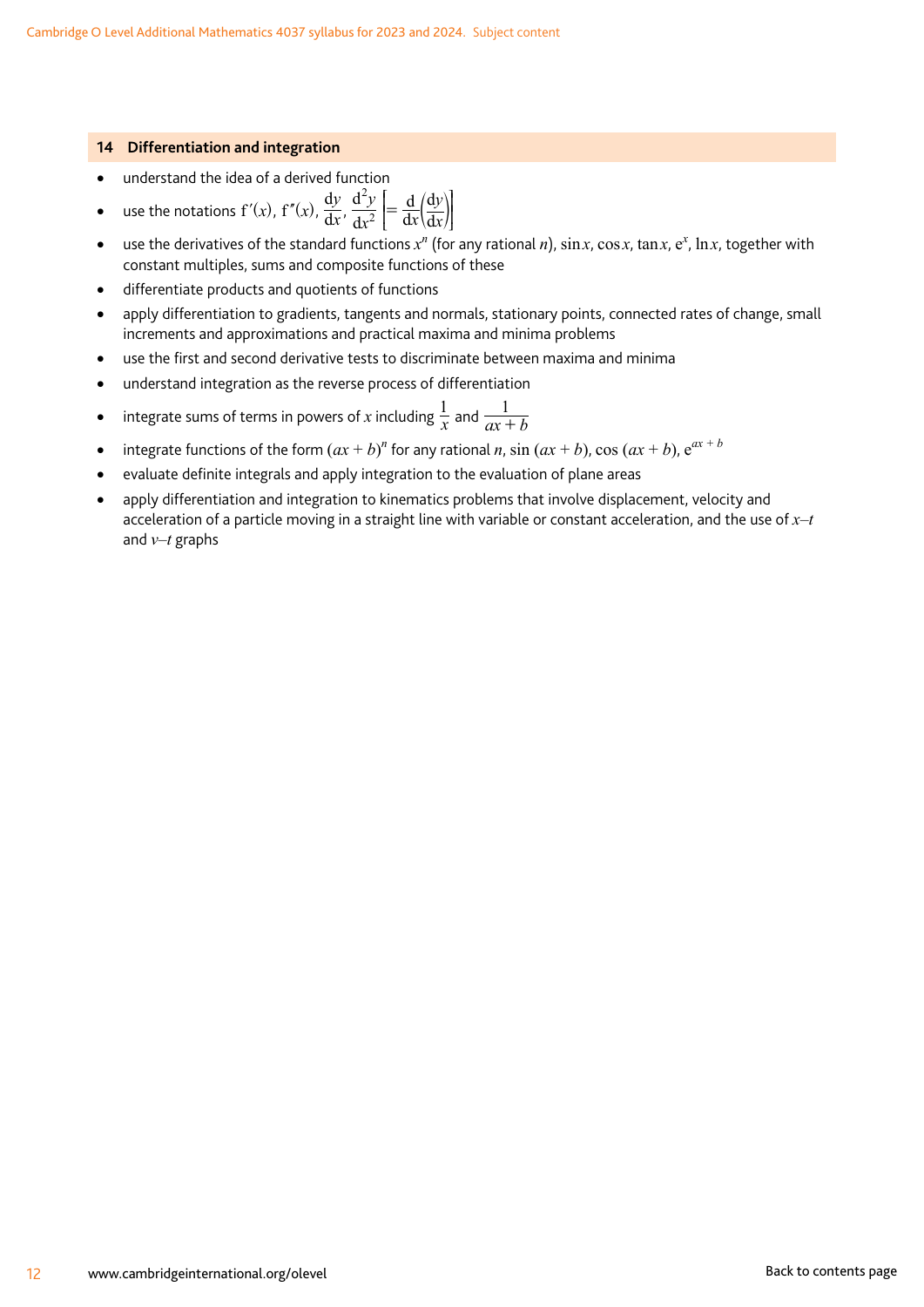#### **14 Differentiation and integration**

- understand the idea of a derived function
- use the notations  $f'(x)$ ,  $f''(x)$ ,  $\frac{dy}{dx}$  $rac{dy}{dx}$ ,  $rac{d^2y}{dx^2}$ d d 2 2 *x x y* d d  $= \frac{d}{dx} \left( \frac{dy}{dx} \right)$ J W W
- use the derivatives of the standard functions  $x^n$  (for any rational *n*), sin *x*, cos *x*, tan *x*, e<sup>x</sup>, ln *x*, together with constant multiples, sums and composite functions of these
- differentiate products and quotients of functions
- apply differentiation to gradients, tangents and normals, stationary points, connected rates of change, small increments and approximations and practical maxima and minima problems
- use the first and second derivative tests to discriminate between maxima and minima
- understand integration as the reverse process of differentiation
- integrate sums of terms in powers of *x* including  $\frac{1}{x}$  and  $\frac{1}{ax+b}$ 1 +
- integrate functions of the form  $(ax + b)^n$  for any rational *n*,  $\sin (ax + b)$ ,  $\cos (ax + b)$ ,  $e^{ax + b}$
- evaluate definite integrals and apply integration to the evaluation of plane areas
- apply differentiation and integration to kinematics problems that involve displacement, velocity and acceleration of a particle moving in a straight line with variable or constant acceleration, and the use of *x–t* and *v–t* graphs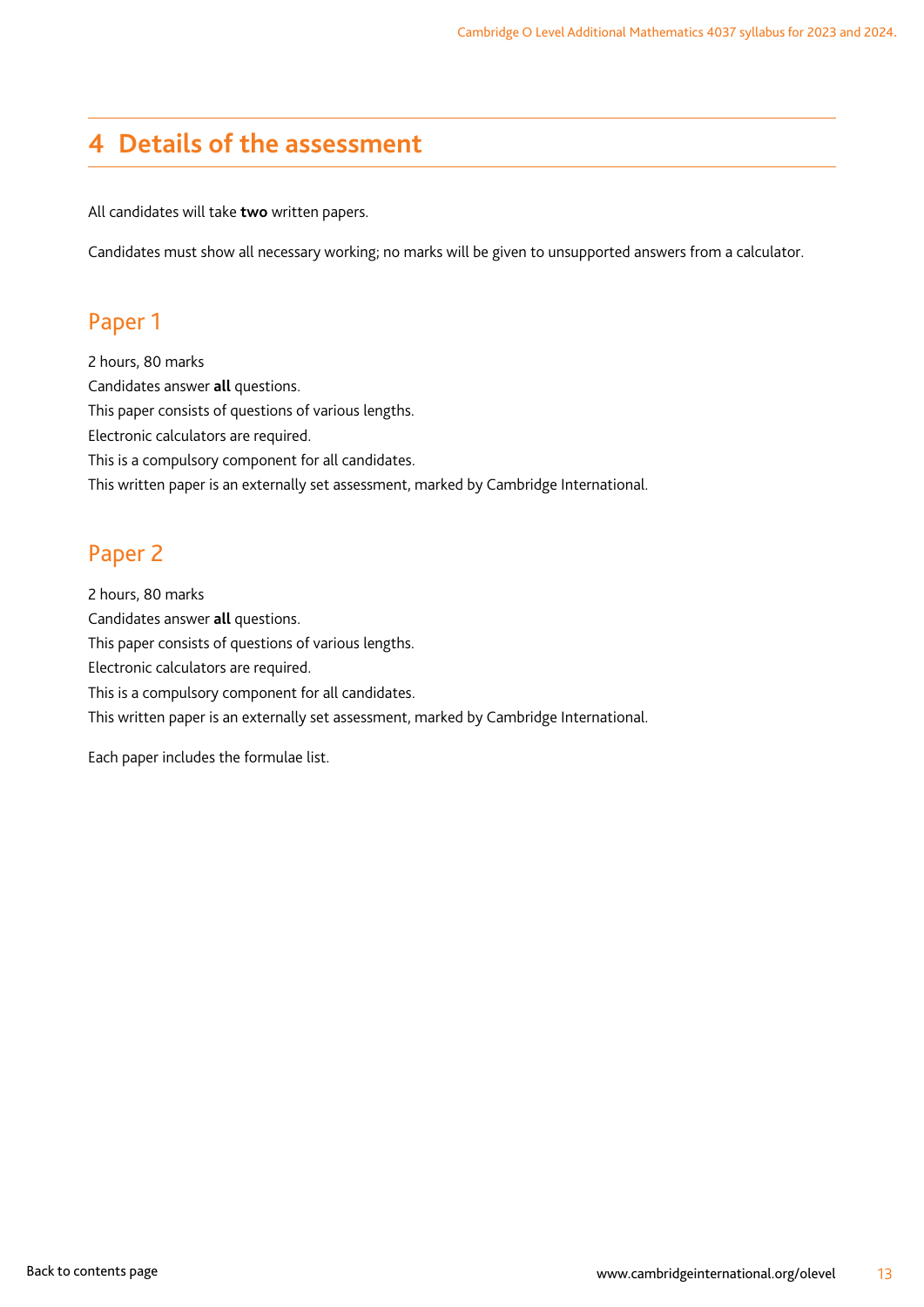# <span id="page-14-0"></span>**4 Details of the assessment**

All candidates will take **two** written papers.

Candidates must show all necessary working; no marks will be given to unsupported answers from a calculator.

### Paper 1

2 hours, 80 marks Candidates answer **all** questions. This paper consists of questions of various lengths. Electronic calculators are required. This is a compulsory component for all candidates. This written paper is an externally set assessment, marked by Cambridge International.

## Paper 2

2 hours, 80 marks Candidates answer **all** questions. This paper consists of questions of various lengths. Electronic calculators are required. This is a compulsory component for all candidates. This written paper is an externally set assessment, marked by Cambridge International.

Each paper includes the formulae list.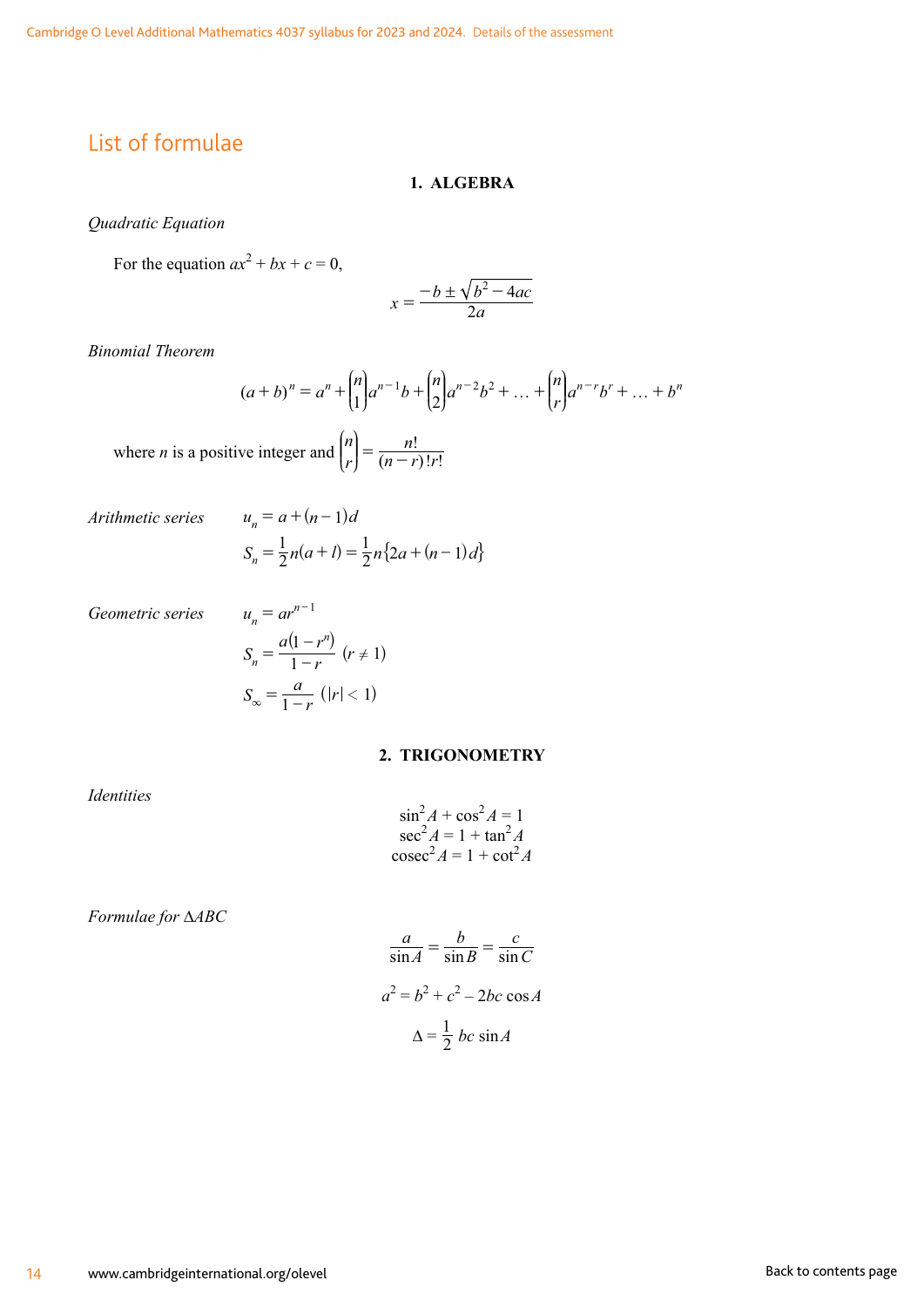# <span id="page-15-0"></span>List of formulae

#### **1. ALGEBRA**

*Quadratic Equation*

For the equation  $ax^2 + bx + c = 0$ ,

$$
x = \frac{-b \pm \sqrt{b^2 - 4ac}}{2a}
$$

*Binomial Theorem*

$$
(a+b)^n = a^n + \binom{n}{1}a^{n-1}b + \binom{n}{2}a^{n-2}b^2 + \dots + \binom{n}{r}a^{n-r}b^r + \dots + b^n
$$

where *n* is a positive integer and  $\binom{n}{r} = \frac{n!}{(n-r)!r!}$  $\left[n\right]$   $\qquad$   $n!$  $\binom{n}{r} = \frac{n!}{(n-r)!r}$ L K K N  $\overline{y}$  $\overline{\phantom{a}}$ 

*Arithmetic series*  $u_n = a + (n-1)a$ 

$$
S_n = \frac{1}{2}n(a+l) = \frac{1}{2}n\{2a + (n-1)d\}
$$

*Geometric series* 

$$
u_n = ar^{n-1}
$$
  
\n
$$
S_n = \frac{a(1 - r^n)}{1 - r} \quad (r \neq 1)
$$
  
\n
$$
S_{\infty} = \frac{a}{1 - r} \quad (|r| < 1)
$$

#### **2. TRIGONOMETRY**

*Identities*

$$
\sin^2 A + \cos^2 A = 1
$$
  
\n
$$
\sec^2 A = 1 + \tan^2 A
$$
  
\n
$$
\csc^2 A = 1 + \cot^2 A
$$

*Formulae for* ∆*ABC*

$$
\frac{a}{\sin A} = \frac{b}{\sin B} = \frac{c}{\sin C}
$$

$$
a^2 = b^2 + c^2 - 2bc \cos A
$$

$$
\Delta = \frac{1}{2} bc \sin A
$$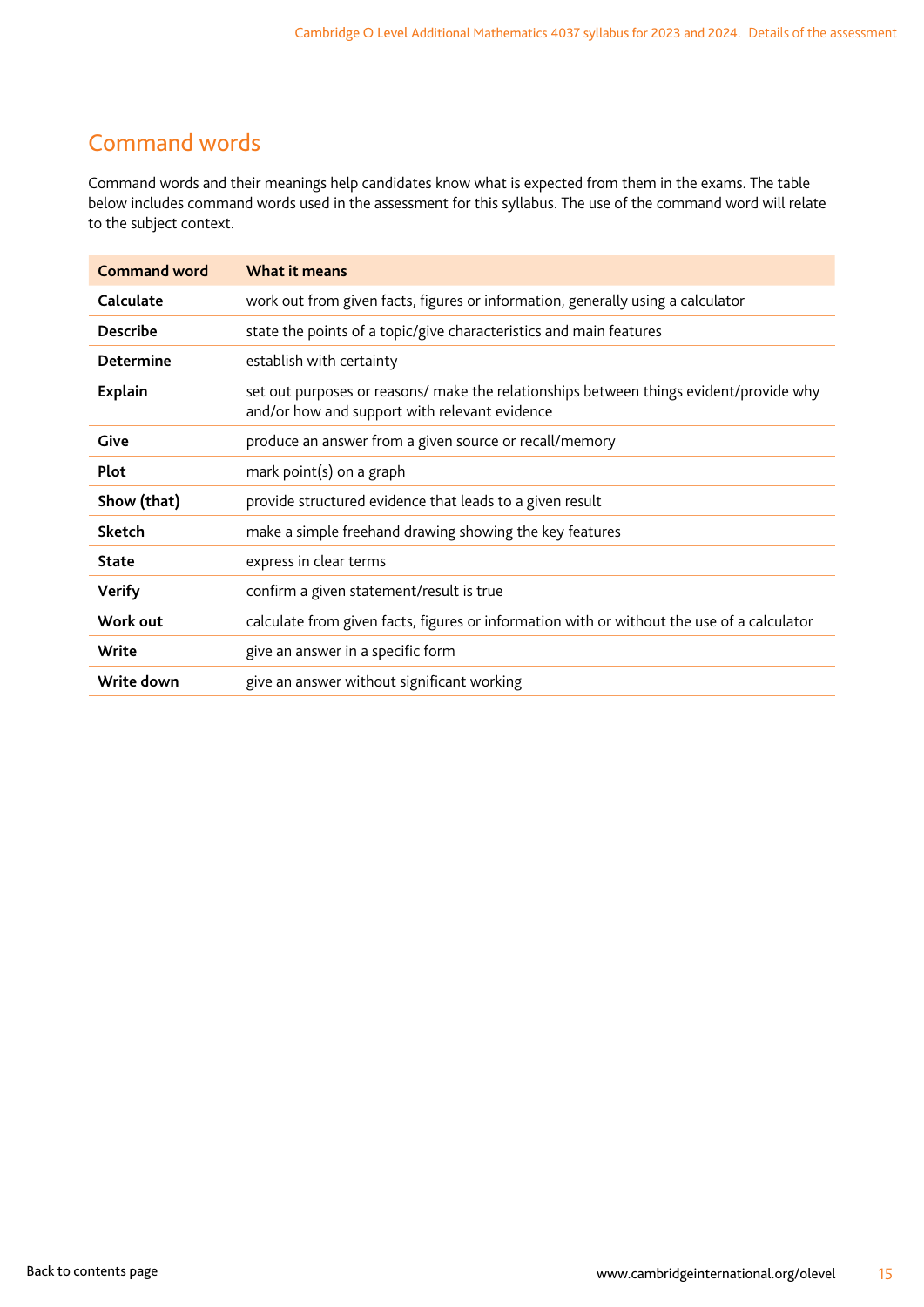# <span id="page-16-0"></span>Command words

Command words and their meanings help candidates know what is expected from them in the exams. The table below includes command words used in the assessment for this syllabus. The use of the command word will relate to the subject context.

| <b>Command word</b> | What it means                                                                                                                           |
|---------------------|-----------------------------------------------------------------------------------------------------------------------------------------|
| Calculate           | work out from given facts, figures or information, generally using a calculator                                                         |
| <b>Describe</b>     | state the points of a topic/give characteristics and main features                                                                      |
| <b>Determine</b>    | establish with certainty                                                                                                                |
| <b>Explain</b>      | set out purposes or reasons/ make the relationships between things evident/provide why<br>and/or how and support with relevant evidence |
| Give                | produce an answer from a given source or recall/memory                                                                                  |
| Plot                | mark point(s) on a graph                                                                                                                |
| Show (that)         | provide structured evidence that leads to a given result                                                                                |
| <b>Sketch</b>       | make a simple freehand drawing showing the key features                                                                                 |
| <b>State</b>        | express in clear terms                                                                                                                  |
| <b>Verify</b>       | confirm a given statement/result is true                                                                                                |
| Work out            | calculate from given facts, figures or information with or without the use of a calculator                                              |
| Write               | give an answer in a specific form                                                                                                       |
| Write down          | give an answer without significant working                                                                                              |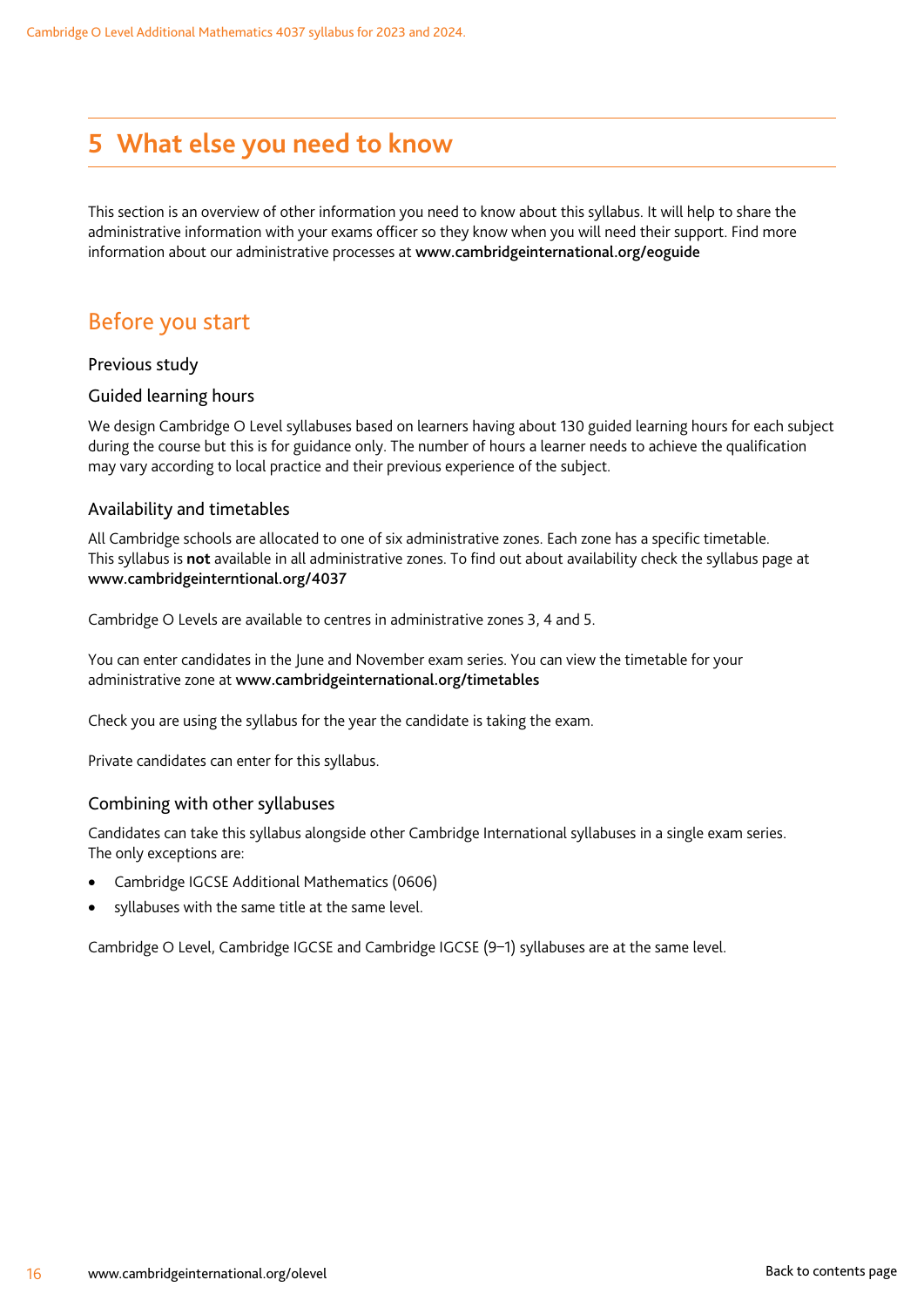# <span id="page-17-0"></span>**5 What else you need to know**

This section is an overview of other information you need to know about this syllabus. It will help to share the administrative information with your exams officer so they know when you will need their support. Find more information about our administrative processes at www.cambridgeinternational.org/eoguide

# Before you start

#### Previous study

#### Guided learning hours

We design Cambridge O Level syllabuses based on learners having about 130 guided learning hours for each subject during the course but this is for guidance only. The number of hours a learner needs to achieve the qualification may vary according to local practice and their previous experience of the subject.

#### Availability and timetables

All Cambridge schools are allocated to one of six administrative zones. Each zone has a specific timetable. This syllabus is **not** available in all administrative zones. To find out about availability check the syllabus page at www.cambridgeinterntional.org/4037

Cambridge O Levels are available to centres in administrative zones 3, 4 and 5.

You can enter candidates in the June and November exam series. You can view the timetable for your administrative zone at www.cambridgeinternational.org/timetables

Check you are using the syllabus for the year the candidate is taking the exam.

Private candidates can enter for this syllabus.

#### Combining with other syllabuses

Candidates can take this syllabus alongside other Cambridge International syllabuses in a single exam series. The only exceptions are:

- Cambridge IGCSE Additional Mathematics (0606)
- syllabuses with the same title at the same level.

Cambridge O Level, Cambridge IGCSE and Cambridge IGCSE (9–1) syllabuses are at the same level.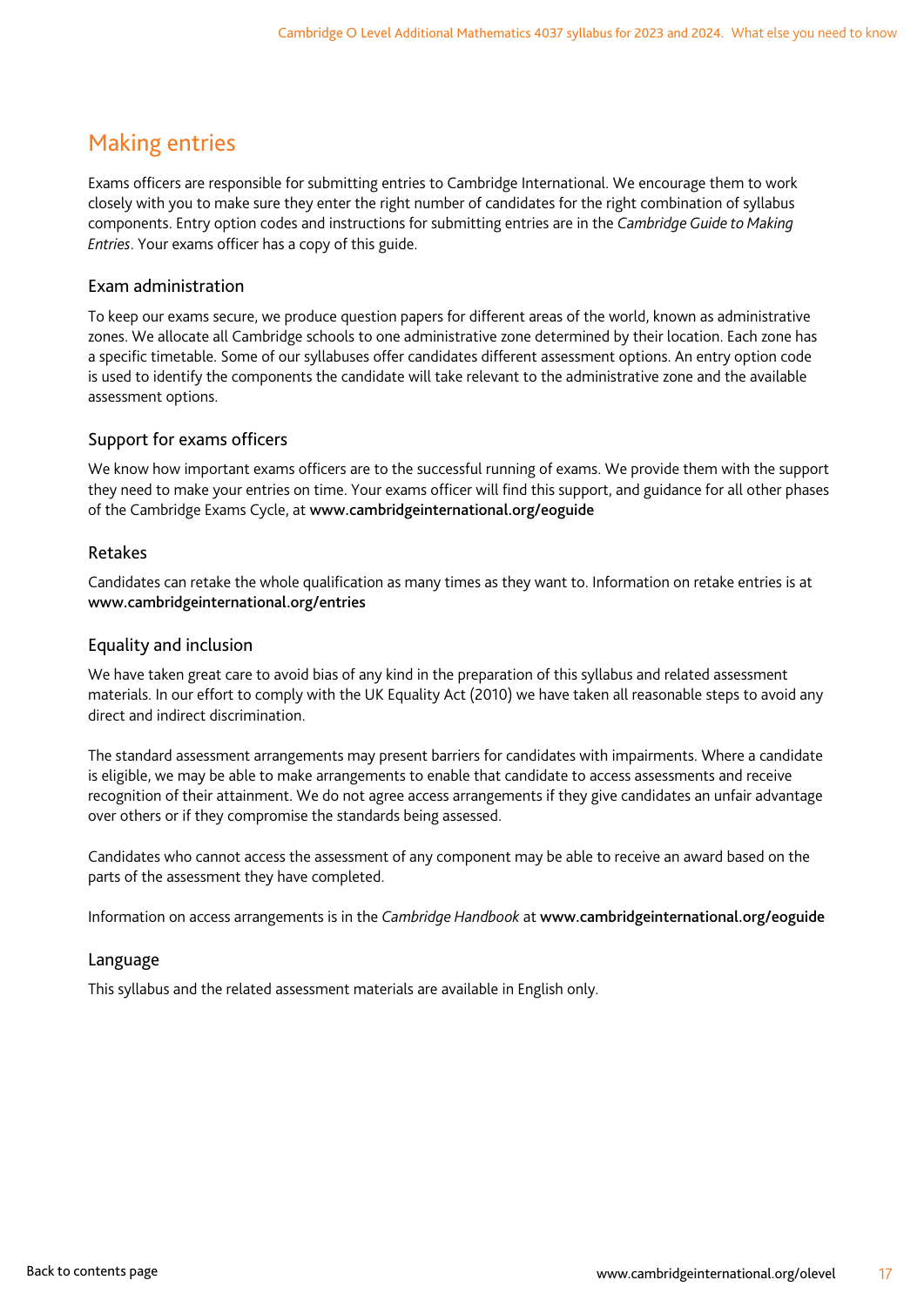# <span id="page-18-0"></span>Making entries

Exams officers are responsible for submitting entries to Cambridge International. We encourage them to work closely with you to make sure they enter the right number of candidates for the right combination of syllabus components. Entry option codes and instructions for submitting entries are in the *Cambridge Guide to Making Entries*. Your exams officer has a copy of this guide.

#### Exam administration

To keep our exams secure, we produce question papers for different areas of the world, known as administrative zones. We allocate all Cambridge schools to one administrative zone determined by their location. Each zone has a specific timetable. Some of our syllabuses offer candidates different assessment options. An entry option code is used to identify the components the candidate will take relevant to the administrative zone and the available assessment options.

#### Support for exams officers

We know how important exams officers are to the successful running of exams. We provide them with the support they need to make your entries on time. Your exams officer will find this support, and guidance for all other phases of the Cambridge Exams Cycle, at www.cambridgeinternational.org/eoguide

#### Retakes

Candidates can retake the whole qualification as many times as they want to. Information on retake entries is at www.cambridgeinternational.org/entries

#### Equality and inclusion

We have taken great care to avoid bias of any kind in the preparation of this syllabus and related assessment materials. In our effort to comply with the UK Equality Act (2010) we have taken all reasonable steps to avoid any direct and indirect discrimination.

The standard assessment arrangements may present barriers for candidates with impairments. Where a candidate is eligible, we may be able to make arrangements to enable that candidate to access assessments and receive recognition of their attainment. We do not agree access arrangements if they give candidates an unfair advantage over others or if they compromise the standards being assessed.

Candidates who cannot access the assessment of any component may be able to receive an award based on the parts of the assessment they have completed.

Information on access arrangements is in the *Cambridge Handbook* at www.cambridgeinternational.org/eoguide

#### Language

This syllabus and the related assessment materials are available in English only.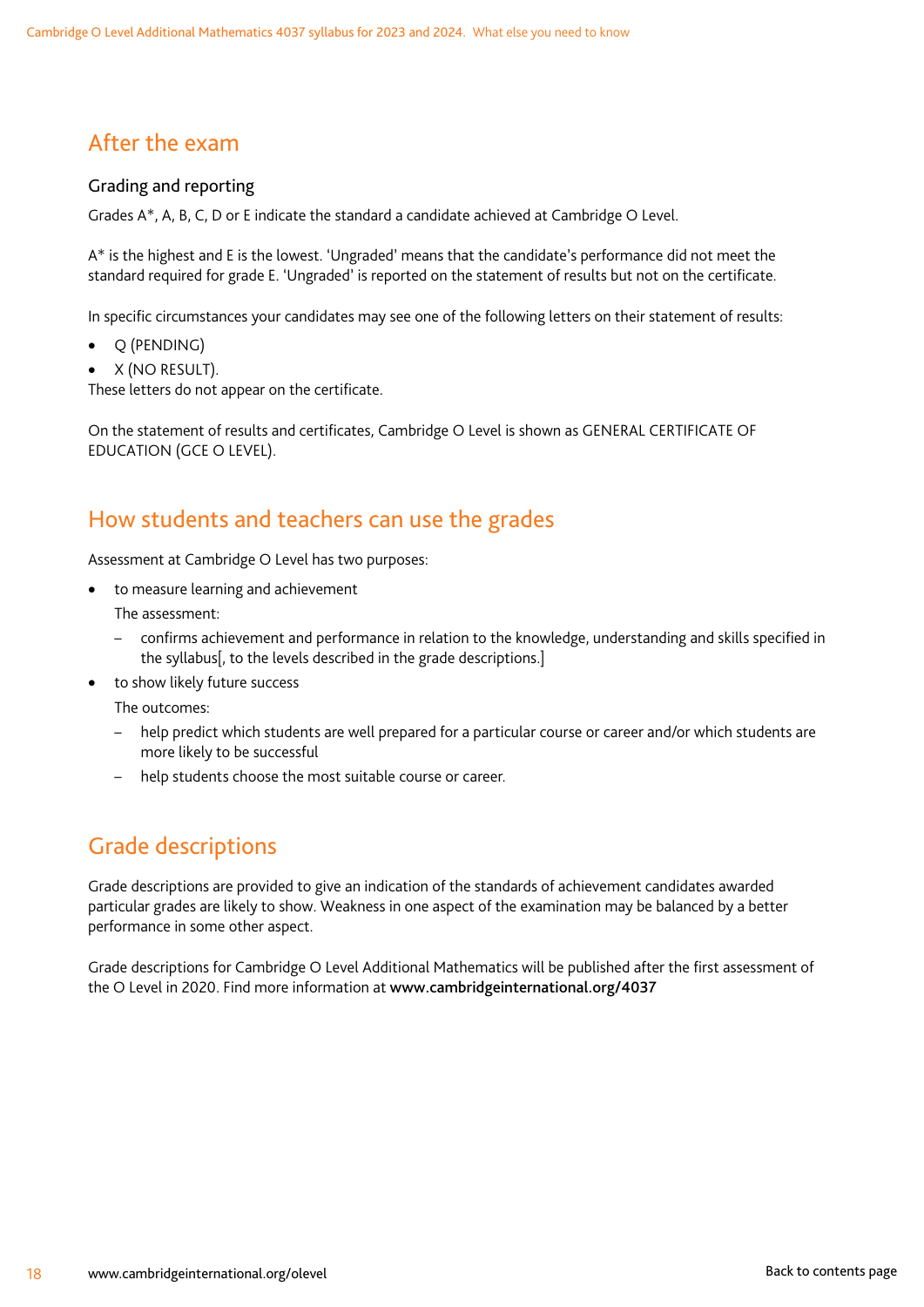# <span id="page-19-0"></span>After the exam

#### Grading and reporting

Grades A\*, A, B, C, D or E indicate the standard a candidate achieved at Cambridge O Level.

A\* is the highest and E is the lowest. 'Ungraded' means that the candidate's performance did not meet the standard required for grade E. 'Ungraded' is reported on the statement of results but not on the certificate.

In specific circumstances your candidates may see one of the following letters on their statement of results:

- Q (PENDING)
- X (NO RESULT).

These letters do not appear on the certificate.

On the statement of results and certificates, Cambridge O Level is shown as GENERAL CERTIFICATE OF EDUCATION (GCE O LEVEL).

### How students and teachers can use the grades

Assessment at Cambridge O Level has two purposes:

- to measure learning and achievement The assessment:
	- confirms achievement and performance in relation to the knowledge, understanding and skills specified in the syllabus[, to the levels described in the grade descriptions.]
- to show likely future success

The outcomes:

- help predict which students are well prepared for a particular course or career and/or which students are more likely to be successful
- help students choose the most suitable course or career.

# Grade descriptions

Grade descriptions are provided to give an indication of the standards of achievement candidates awarded particular grades are likely to show. Weakness in one aspect of the examination may be balanced by a better performance in some other aspect.

Grade descriptions for Cambridge O Level Additional Mathematics will be published after the first assessment of the O Level in 2020. Find more information at www.cambridgeinternational.org/4037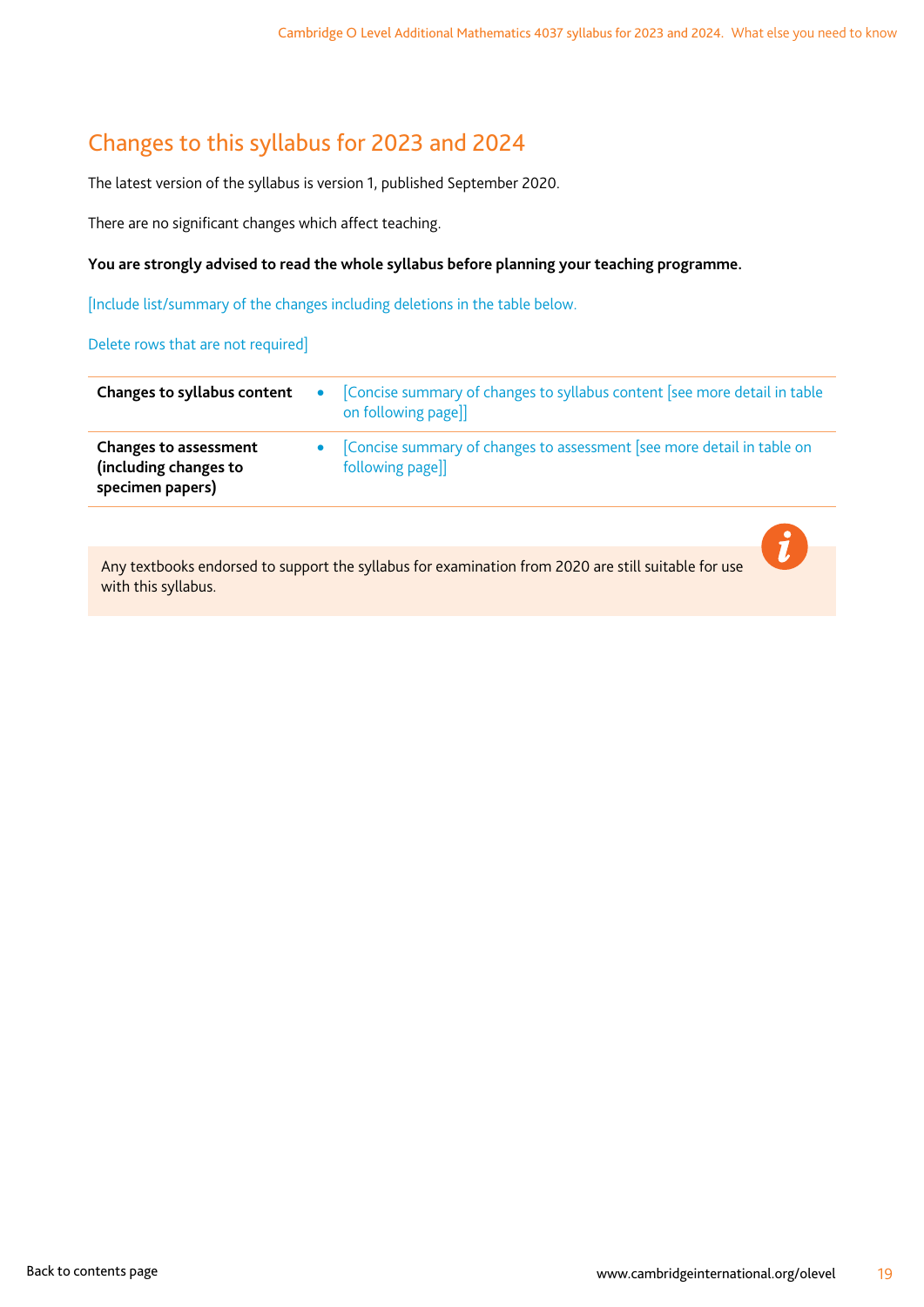# <span id="page-20-0"></span>Changes to this syllabus for 2023 and 2024

The latest version of the syllabus is version 1, published September 2020.

There are no significant changes which affect teaching.

#### **You are strongly advised to read the whole syllabus before planning your teaching programme.**

[Include list/summary of the changes including deletions in the table below.

Delete rows that are not required]

| Changes to syllabus content                                               | $\bullet$ | Concise summary of changes to syllabus content [see more detail in table<br>on following page]] |
|---------------------------------------------------------------------------|-----------|-------------------------------------------------------------------------------------------------|
| <b>Changes to assessment</b><br>(including changes to<br>specimen papers) |           | Concise summary of changes to assessment [see more detail in table on<br>following page]]       |
|                                                                           |           |                                                                                                 |

Any textbooks endorsed to support the syllabus for examination from 2020 are still suitable for use with this syllabus.

i